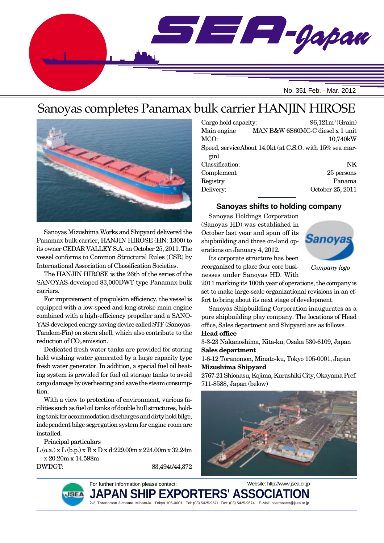

# Sanoyas completes Panamax bulk carrier HANJIN HIROSE



Sanoyas Mizushima Works and Shipyard delivered the Panamax bulk carrier, HANJIN HIROSE (HN: 1300) to its owner CEDAR VALLEY S.A. on October 25, 2011. The vessel conforms to Common Structural Rules (CSR) by International Association of Classification Societies.

The HANJIN HIROSE is the 26th of the series of the SANOYAS-developed 83,000DWT type Panamax bulk carriers.

For improvement of propulsion efficiency, the vessel is equipped with a low-speed and long-stroke main engine combined with a high-efficiency propeller and a SANO-YAS-developed energy saving device called STF (Sanoyas-Tandem-Fin) on stern shell, which also contribute to the reduction of  $CO<sub>2</sub>$  emission.

Dedicated fresh water tanks are provided for storing hold washing water generated by a large capacity type fresh water generator. In addition, a special fuel oil heating system is provided for fuel oil storage tanks to avoid cargo damage by overheating and save the steam consumption.

With a view to protection of environment, various facilities such as fuel oil tanks of double hull structures, holding tank for accommodation discharges and dirty hold bilge, independent bilge segregation system for engine room are installed.

Principal particulars

L (o.a.) x L (b.p.) x B x D x d:229.00m x 224.00m x 32.24m x 20.20m x 14.598m

DWT/GT: 83,494t/44,372

Cargo hold capacity: 96,121m<sup>3</sup> (Grain) Main engine MAN B&W 6S60MC-C diesel x 1 unit MCO: 10,740kW Speed, serviceAbout 14.0kt (at C.S.O. with 15% sea margin) Classification: NK Complement 25 persons Registry Panama

**Sanoyas shifts to holding company**

Delivery: October 25, 2011

Sanoyas Holdings Corporation (Sanoyas HD) was established in October last year and spun off its shipbuilding and three on-land operations on January 4, 2012.



Its corporate structure has been reorganized to place four core businesses under Sanoyas HD. With

*Company logo*

2011 marking its 100th year of operations, the company is set to make large-scale organizational revisions in an effort to bring about its next stage of development.

Sanoyas Shipbuilding Corporation inaugurates as a pure shipbuilding play company. The locations of Head office, Sales department and Shipyard are as follows. **Head office**

3-3-23 Nakanoshima, Kita-ku, Osaka 530-6109, Japan **Sales department**

1-6-12 Toranomon, Minato-ku, Tokyo 105-0001, Japan **Mizushima Shipyard**

2767-21 Shionasu, Kojima, Kurashiki City, Okayama Pref. 711-8588, Japan (below)





For further information please contact:

JAPAN SHIP EXPORTERS' ASSO**(** Website: http://www.jsea.or.jp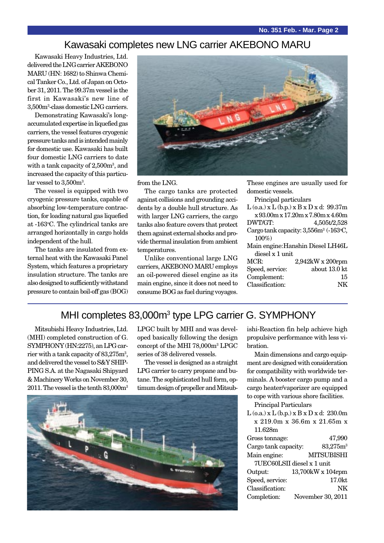#### Kawasaki completes new LNG carrier AKEBONO MARU

Kawasaki Heavy Industries, Ltd. delivered the LNG carrier AKEBONO MARU (HN: 1682) to Shinwa Chemical Tanker Co., Ltd. of Japan on October 31, 2011. The 99.37m vessel is the first in Kawasaki's new line of 3,500m3 -class domestic LNG carriers.

Demonstrating Kawasaki's longaccumulated expertise in liquefied gas carriers, the vessel features cryogenic pressure tanks and is intended mainly for domestic use. Kawasaki has built four domestic LNG carriers to date with a tank capacity of 2,500m3 , and increased the capacity of this particu- $\text{lar vessel to } 3{,}500\text{m}^3$ .

The vessel is equipped with two cryogenic pressure tanks, capable of absorbing low-temperature contraction, for loading natural gas liquefied at -163°C. The cylindrical tanks are arranged horizontally in cargo holds independent of the hull.

The tanks are insulated from external heat with the Kawasaki Panel System, which features a proprietary insulation structure. The tanks are also designed to sufficiently withstand pressure to contain boil-off gas (BOG)



from the LNG.

The cargo tanks are protected against collisions and grounding accidents by a double hull structure. As with larger LNG carriers, the cargo tanks also feature covers that protect them against external shocks and provide thermal insulation from ambient temperatures.

Unlike conventional large LNG carriers, AKEBONO MARU employs an oil-powered diesel engine as its main engine, since it does not need to consume BOG as fuel during voyages. These engines are usually used for domestic vessels.

Principal particulars

|                 | $L$ (o.a.) x $L$ (b.p.) x $B$ x $D$ x d: 99.37m   |
|-----------------|---------------------------------------------------|
|                 | x 93.00m x 17.20m x 7.80m x 4.60m                 |
| DWT/GT:         | 4,505t/2,528                                      |
|                 | Cargo tank capacity: 3,556m <sup>3</sup> (-163°C, |
| $100\%$         |                                                   |
|                 | Main engine: Hanshin Diesel LH46L                 |
| diesel x 1 unit |                                                   |
| MCR:            | 2,942kW x 200rpm                                  |
| Speed, service: | about 13.0 kt                                     |
| Complement:     | 15                                                |
| Classification: |                                                   |
|                 |                                                   |

#### MHI completes 83,000m<sup>3</sup> type LPG carrier G. SYMPHONY

Mitsubishi Heavy Industries, Ltd. (MHI) completed construction of G. SYMPHONY (HN:2275), an LPG carrier with a tank capacity of  $83,\!275\mathrm{m}^3,$ and delivered the vessel to S&Y SHIP-PING S.A. at the Nagasaki Shipyard & Machinery Works on November 30, 2011. The vessel is the tenth 83,000m<sup>3</sup> LPGC built by MHI and was developed basically following the design concept of the MHI 78,000m3 LPGC series of 38 delivered vessels.

The vessel is designed as a straight LPG carrier to carry propane and butane. The sophisticated hull form, optimum design of propeller and Mitsub-



ishi-Reaction fin help achieve high propulsive performance with less vibration.

Main dimensions and cargo equipment are designed with consideration for compatibility with worldwide terminals. A booster cargo pump and a cargo heater/vaporizer are equipped to cope with various shore facilities.

Principal Particulars

| $L$ (o.a.) x $L$ (b.p.) x $B$ x $D$ x d: 230.0m |                             |  |
|-------------------------------------------------|-----------------------------|--|
|                                                 | x 219.0m x 36.6m x 21.65m x |  |
| 11.628m                                         |                             |  |
| Gross tonnage:                                  | 47,990                      |  |
| Cargo tank capacity:                            | 83,275m <sup>3</sup>        |  |
| Main engine:                                    | <b>MITSUBISHI</b>           |  |
|                                                 | 7UEC60LSII diesel x 1 unit  |  |
| Output:                                         | 13,700kW x 104rpm           |  |
| Speed, service:                                 | 17.0kt                      |  |
| Classification:                                 | NK                          |  |
| Completion:                                     | November 30, 2011           |  |
|                                                 |                             |  |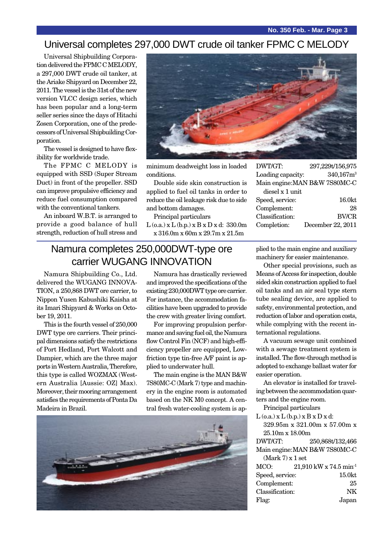#### Universal completes 297,000 DWT crude oil tanker FPMC C MELODY

Universal Shipbuilding Corporation delivered the FPMC C MELODY, a 297,000 DWT crude oil tanker, at the Ariake Shipyard on December 22, 2011. The vessel is the 31st of the new version VLCC design series, which has been popular and a long-term seller series since the days of Hitachi Zosen Corporation, one of the predecessors of Universal Shipbuilding Corporation.

The vessel is designed to have flexibility for worldwide trade.

The FPMC C MELODY is equipped with SSD (Super Stream Duct) in front of the propeller. SSD can improve propulsive efficiency and reduce fuel consumption compared with the conventional tankers.

An inboard W.B.T. is arranged to provide a good balance of hull strength, reduction of hull stress and



minimum deadweight loss in loaded conditions.

Double side skin construction is applied to fuel oil tanks in order to reduce the oil leakage risk due to side and bottom damages.

Principal particulars

 $L$  (o.a.) x  $L$  (b.p.) x  $B$  x  $D$  x d: 330.0m x 316.0m x 60m x 29.7m x 21.5m

### Namura completes 250,000DWT-type ore carrier WUGANG INNOVATION

Namura Shipbuilding Co., Ltd. delivered the WUGANG INNOVA-TION, a 250,868 DWT ore carrier, to Nippon Yusen Kabushiki Kaisha at its Imari Shipyard & Works on October 19, 2011.

This is the fourth vessel of 250,000 DWT type ore carriers. Their principal dimensions satisfy the restrictions of Port Hedland, Port Walcott and Dampier, which are the three major ports in Western Australia, Therefore, this type is called WOZMAX (Western Australia [Aussie: OZ] Max). Moreover, their mooring arrangement satisfies the requirements of Ponta Da Madeira in Brazil.

Namura has drastically reviewed and improved the specifications of the existing 230,000DWT type ore carrier. For instance, the accommodation facilities have been upgraded to provide the crew with greater living comfort.

For improving propulsion performance and saving fuel oil, the Namura flow Control Fin (NCF) and high-efficiency propeller are equipped, Lowfriction type tin-free A/F paint is applied to underwater hull.

The main engine is the MAN B&W 7S80MC-C (Mark 7) type and machinery in the engine room is automated based on the NK M0 concept. A central fresh water-cooling system is ap-



DWT/GT: 297,229t/156,975 Loading capacity:  $340,167m<sup>3</sup>$ Main engine:MAN B&W 7S80MC-C diesel x 1 unit

| 16.0kt            |
|-------------------|
| 28                |
| <b>BV/CR</b>      |
| December 22, 2011 |
|                   |

plied to the main engine and auxiliary machinery for easier maintenance.

Other special provisions, such as Means of Access for inspection, double sided skin construction applied to fuel oil tanks and an air seal type stern tube sealing device, are applied to safety, environmental protection, and reduction of labor and operation costs, while complying with the recent international regulations.

A vacuum sewage unit combined with a sewage treatment system is installed. The flow-through method is adopted to exchange ballast water for easier operation.

An elevator is installed for traveling between the accommodation quarters and the engine room.

Principal particulars

 $L$  (o.a.)  $x L$  (b.p.)  $x B x D x d$ : 329.95m x 321.00m x 57.00m x 25.10m x 18.00m

DWT/GT: 250,868t/132,466 Main engine:MAN B&W 7S80MC-C  $(M_{\text{c}} \cdot \mathbf{r}) \times 1$  set

| (Mark <i>I)</i> x 1 set |                                      |
|-------------------------|--------------------------------------|
| MCO:                    | $21,910$ kW x 74.5 min <sup>-1</sup> |
| Speed, service:         | 15.0 <sub>kt</sub>                   |
| Complement:             | 25                                   |
| Classification:         | NK                                   |
| Flag:                   | Japan                                |
|                         |                                      |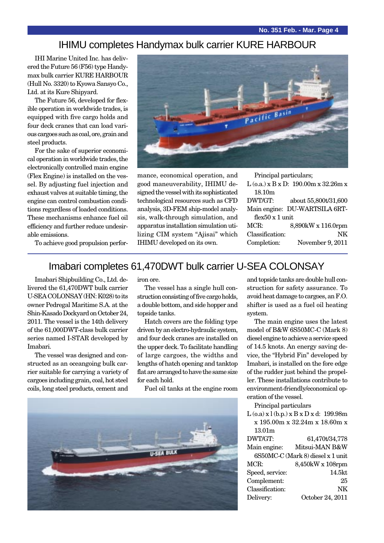#### IHIMU completes Handymax bulk carrier KURE HARBOUR

IHI Marine United Inc. has delivered the Future 56 (F56) type Handymax bulk carrier KURE HARBOUR (Hull No. 3320) to Kyowa Sansyo Co., Ltd. at its Kure Shipyard.

The Future 56, developed for flexible operation in worldwide trades, is equipped with five cargo holds and four deck cranes that can load various cargoes such as coal, ore, grain and steel products.

For the sake of superior economical operation in worldwide trades, the electronically controlled main engine (Flex Engine) is installed on the vessel. By adjusting fuel injection and exhaust valves at suitable timing, the engine can control combustion conditions regardless of loaded conditions. These mechanisms enhance fuel oil efficiency and further reduce undesirable emissions.



mance, economical operation, and good maneuverability, IHIMU designed the vessel with its sophisticated technological resources such as CFD analysis, 3D-FEM ship-model analysis, walk-through simulation, and apparatus installation simulation utilizing CIM system "Ajisai" which IHIMU developed on its own.

Principal particulars;

L (o.a.) x B x D: 190.00m x 32.26m x 18.10m

| DWT/GT:                 | about 55,800t/31,600          |
|-------------------------|-------------------------------|
|                         | Main engine: DU-WARTSILA 6RT- |
| flex $50 \times 1$ unit |                               |
| MCR                     | $8.890kW \times 116.0mm$      |

MCR: 8,890kW x 116.0rpm Classification: NK Completion: November 9, 2011

To achieve good propulsion perfor-

### Imabari completes 61,470DWT bulk carrier U-SEA COLONSAY

Imabari Shipbuilding Co., Ltd. delivered the 61,470DWT bulk carrier U-SEA COLONSAY (HN: K028) to its owner Pedregal Maritime S.A. at the Shin-Kasado Dockyard on October 24, 2011. The vessel is the 14th delivery of the 61,000DWT-class bulk carrier series named I-STAR developed by Imabari.

The vessel was designed and constructed as an oceangoing bulk carrier suitable for carrying a variety of cargoes including grain, coal, hot steel coils, long steel products, cement and

iron ore.

The vessel has a single hull construction consisting of five cargo holds, a double bottom, and side hopper and topside tanks.

Hatch covers are the folding type driven by an electro-hydraulic system, and four deck cranes are installed on the upper deck. To facilitate handling of large cargoes, the widths and lengths of hatch opening and tanktop flat are arranged to have the same size for each hold.

Fuel oil tanks at the engine room



and topside tanks are double hull construction for safety assurance. To avoid heat damage to cargoes, an F.O. shifter is used as a fuel oil heating system.

The main engine uses the latest model of B&W 6S50MC-C (Mark 8) diesel engine to achieve a service speed of 14.5 knots. An energy saving device, the "Hybrid Fin" developed by Imabari, is installed on the fore edge of the rudder just behind the propeller. These installations contribute to environment-friendly/economical operation of the vessel.

Principal particulars

 $L (o.a) x l (b.n.) x B x D x d: 199.98m$ x 195.00m x 32.24m x 18.60m x  $19.01...$ 

| 10.VIII         |                                   |
|-----------------|-----------------------------------|
| DWT/GT:         | 61,470t/34,778                    |
| Main engine:    | Mitsui-MAN B&W                    |
|                 | 6S50MC-C (Mark 8) diesel x 1 unit |
| MCR:            | 8,450kW x 108rpm                  |
| Speed, service: | 14.5kt                            |
| Complement:     | 25                                |
| Classification: | NK                                |
| Delivery:       | October 24, 2011                  |
|                 |                                   |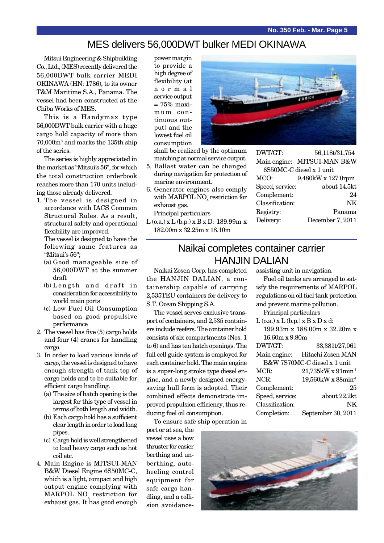#### MES delivers 56,000DWT bulker MEDI OKINAWA

Mitsui Engineering & Shipbuilding Co., Ltd., (MES) recently delivered the 56,000DWT bulk carrier MEDI OKINAWA (HN: 1786), to its owner T&M Maritime S.A., Panama. The vessel had been constructed at the Chiba Works of MES.

This is a Handymax type 56,000DWT bulk carrier with a huge cargo hold capacity of more than 70,000m3 and marks the 135th ship of the series.

The series is highly appreciated in the market as "Mitsui's 56", for which the total construction orderbook reaches more than 170 units including those already delivered.

1. The vessel is designed in accordance with IACS Common Structural Rules. As a result, structural safety and operational flexibility are improved. The vessel is designed to have the

following same features as "Mitsui's 56";

- (a) Good manageable size of 56,000DWT at the summer draft
- (b) Length and draft in consideration for accessibility to world main ports
- (c) Low Fuel Oil Consumption based on good propulsive performance
- 2. The vessel has five (5) cargo holds and four (4) cranes for handling cargo.
- 3. In order to load various kinds of cargo, the vessel is designed to have enough strength of tank top of cargo holds and to be suitable for efficient cargo handling.
	- (a) The size of hatch opening is the largest for this type of vessel in terms of both length and width.
	- (b) Each cargo hold has a sufficient clear length in order to load long pipes.
	- (c) Cargo hold is well strengthened to load heavy cargo such as hot coil etc.
- 4. Main Engine is MITSUI-MAN B&W Diesel Engine 6S50MC-C, which is a light, compact and high output engine complying with  $\rm MARPOL\ NO_{_X}\ reaction$  for exhaust gas. It has good enough

power margin to provide a high degree of flexibility (at normal service output. = 75% maximum continuous output) and the lowest fuel oil consumption

shall be realized by the optimum matching at normal service output.

- 5. Ballast water can be changed during navigation for protection of marine environment.
- 6. Generator engines also comply with MARPOL NO<sub>x</sub> restriction for exhaust gas. Principal particulars
- L (o.a.) x L (b.p.) x B x D: 189.99m x 182.00m x 32.25m x 18.10m



DWT/GT: 56,118t/31,754 Main engine: MITSUI-MAN B&W 6S50MC-C diesel x 1 unit MCO: 9,480kW x 127.0rpm Speed, service: about 14.5kt Complement: 24 Classification: NK Registry: Panama Delivery: December 7, 2011

#### Naikai completes container carrier HANJIN DALIAN

Naikai Zosen Corp. has completed the HANJIN DALIAN, a containership capable of carrying 2,535TEU containers for delivery to S.T. Ocean Shipping S.A.

The vessel serves exclusive transport of containers, and 2,535 containers include reefers. The container hold consists of six compartments (Nos. 1 to 6) and has ten hatch openings. The full cell guide system is employed for each container hold. The main engine is a super-long stroke type diesel engine, and a newly designed energysaving hull form is adopted. Their combined effects demonstrate improved propulsion efficiency, thus reducing fuel oil consumption.

To ensure safe ship operation in

port or at sea, the vessel uses a bow thruster for easier berthing and unberthing, autoheeling control equipment for safe cargo handling, and a collision avoidanceassisting unit in navigation.

Fuel oil tanks are arranged to satisfy the requirements of MARPOL regulations on oil fuel tank protection and prevent marine pollution.

Principal particulars

| $L$ (o.a.) $x L$ (b.p.) $x B x D x d$ : |                                      |  |
|-----------------------------------------|--------------------------------------|--|
| 199.93m x 188.00m x 32.20m x            |                                      |  |
| $16.60m \times 9.80m$                   |                                      |  |
| DWT/GT:                                 | 33,381t/27,061                       |  |
|                                         | Main engine: Hitachi Zosen MAN       |  |
| B&W 7S70MC-C diesel x 1 unit            |                                      |  |
| MCR:                                    | $21,735$ kW x $91$ min <sup>-1</sup> |  |
| NCR:                                    | $19,560$ kW x 88min <sup>-1</sup>    |  |
| Complement:                             | 25                                   |  |
| Speed, service:                         | about 22.2kt                         |  |
| Classification:                         | NK                                   |  |
| Completion:                             | September 30, 2011                   |  |